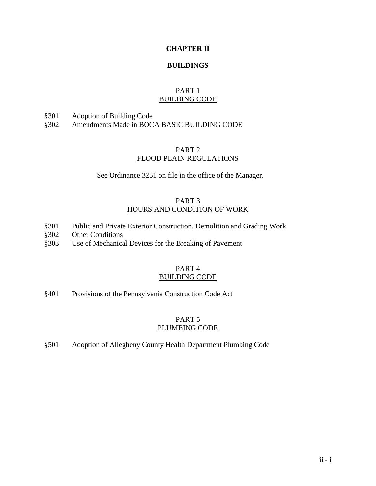# **CHAPTER II**

### **BUILDINGS**

# PART 1 BUILDING CODE

§301 Adoption of Building Code

§302 Amendments Made in BOCA BASIC BUILDING CODE

# PART 2 FLOOD PLAIN REGULATIONS

See Ordinance 3251 on file in the office of the Manager.

# PART 3 HOURS AND CONDITION OF WORK

- §301 Public and Private Exterior Construction, Demolition and Grading Work
- §302 Other Conditions
- §303 Use of Mechanical Devices for the Breaking of Pavement

## PART 4 BUILDING CODE

§401 Provisions of the Pennsylvania Construction Code Act

# PART 5 PLUMBING CODE

§501 Adoption of Allegheny County Health Department Plumbing Code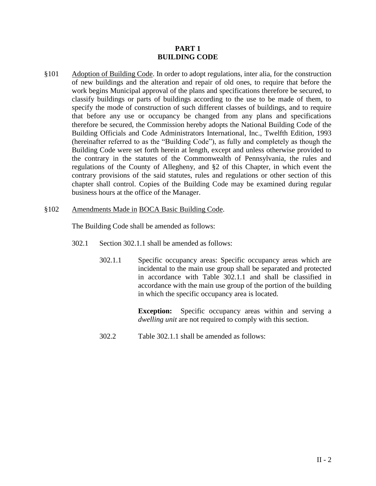### **PART 1 BUILDING CODE**

§101 Adoption of Building Code. In order to adopt regulations, inter alia, for the construction of new buildings and the alteration and repair of old ones, to require that before the work begins Municipal approval of the plans and specifications therefore be secured, to classify buildings or parts of buildings according to the use to be made of them, to specify the mode of construction of such different classes of buildings, and to require that before any use or occupancy be changed from any plans and specifications therefore be secured, the Commission hereby adopts the National Building Code of the Building Officials and Code Administrators International, Inc., Twelfth Edition, 1993 (hereinafter referred to as the "Building Code"), as fully and completely as though the Building Code were set forth herein at length, except and unless otherwise provided to the contrary in the statutes of the Commonwealth of Pennsylvania, the rules and regulations of the County of Allegheny, and §2 of this Chapter, in which event the contrary provisions of the said statutes, rules and regulations or other section of this chapter shall control. Copies of the Building Code may be examined during regular business hours at the office of the Manager.

#### §102 Amendments Made in BOCA Basic Building Code.

The Building Code shall be amended as follows:

- 302.1 Section 302.1.1 shall be amended as follows:
	- 302.1.1 Specific occupancy areas: Specific occupancy areas which are incidental to the main use group shall be separated and protected in accordance with Table 302.1.1 and shall be classified in accordance with the main use group of the portion of the building in which the specific occupancy area is located.

**Exception:** Specific occupancy areas within and serving a *dwelling unit* are not required to comply with this section.

302.2 Table 302.1.1 shall be amended as follows: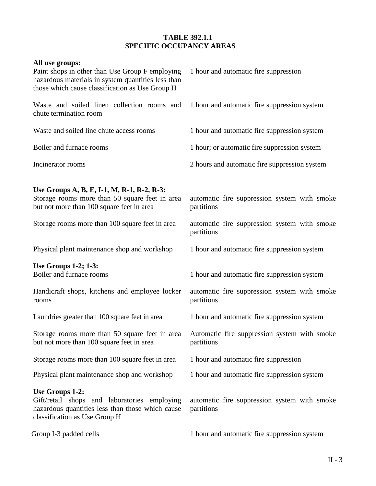# **TABLE 392.1.1 SPECIFIC OCCUPANCY AREAS**

| All use groups:<br>Paint shops in other than Use Group F employing<br>hazardous materials in system quantities less than<br>those which cause classification as Use Group H | 1 hour and automatic fire suppression                      |
|-----------------------------------------------------------------------------------------------------------------------------------------------------------------------------|------------------------------------------------------------|
| Waste and soiled linen collection rooms and<br>chute termination room                                                                                                       | 1 hour and automatic fire suppression system               |
| Waste and soiled line chute access rooms                                                                                                                                    | 1 hour and automatic fire suppression system               |
| Boiler and furnace rooms                                                                                                                                                    | 1 hour; or automatic fire suppression system               |
| Incinerator rooms                                                                                                                                                           | 2 hours and automatic fire suppression system              |
| Use Groups A, B, E, I-1, M, R-1, R-2, R-3:<br>Storage rooms more than 50 square feet in area<br>but not more than 100 square feet in area                                   | automatic fire suppression system with smoke<br>partitions |
| Storage rooms more than 100 square feet in area                                                                                                                             | automatic fire suppression system with smoke<br>partitions |
| Physical plant maintenance shop and workshop                                                                                                                                | 1 hour and automatic fire suppression system               |
| <b>Use Groups 1-2; 1-3:</b><br>Boiler and furnace rooms                                                                                                                     | 1 hour and automatic fire suppression system               |
| Handicraft shops, kitchens and employee locker<br>rooms                                                                                                                     | automatic fire suppression system with smoke<br>partitions |
| Laundries greater than 100 square feet in area                                                                                                                              | 1 hour and automatic fire suppression system               |
| Storage rooms more than 50 square feet in area<br>but not more than 100 square feet in area                                                                                 | Automatic fire suppression system with smoke<br>partitions |
| Storage rooms more than 100 square feet in area                                                                                                                             | 1 hour and automatic fire suppression                      |
| Physical plant maintenance shop and workshop                                                                                                                                | 1 hour and automatic fire suppression system               |
| Use Groups 1-2:<br>Gift/retail shops and laboratories employing<br>hazardous quantities less than those which cause<br>classification as Use Group H                        | automatic fire suppression system with smoke<br>partitions |
| Group I-3 padded cells                                                                                                                                                      | 1 hour and automatic fire suppression system               |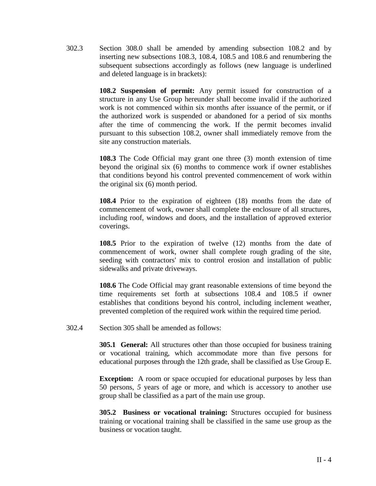302.3 Section 308.0 shall be amended by amending subsection 108.2 and by inserting new subsections 108.3, 108.4, 108.5 and 108.6 and renumbering the subsequent subsections accordingly as follows (new language is underlined and deleted language is in brackets):

> **108.2 Suspension of permit:** Any permit issued for construction of a structure in any Use Group hereunder shall become invalid if the authorized work is not commenced within six months after issuance of the permit, or if the authorized work is suspended or abandoned for a period of six months after the time of commencing the work. If the permit becomes invalid pursuant to this subsection 108.2, owner shall immediately remove from the site any construction materials.

> **108.3** The Code Official may grant one three (3) month extension of time beyond the original six (6) months to commence work if owner establishes that conditions beyond his control prevented commencement of work within the original six (6) month period.

> **108.4** Prior to the expiration of eighteen (18) months from the date of commencement of work, owner shall complete the enclosure of all structures, including roof, windows and doors, and the installation of approved exterior coverings.

> **108.5** Prior to the expiration of twelve (12) months from the date of commencement of work, owner shall complete rough grading of the site, seeding with contractors' mix to control erosion and installation of public sidewalks and private driveways.

> **108.6** The Code Official may grant reasonable extensions of time beyond the time requirements set forth at subsections 108.4 and 108.5 if owner establishes that conditions beyond his control, including inclement weather, prevented completion of the required work within the required time period.

302.4 Section 305 shall be amended as follows:

**305.1 General:** All structures other than those occupied for business training or vocational training, which accommodate more than five persons for educational purposes through the 12th grade, shall be classified as Use Group E.

**Exception:** A room or space occupied for educational purposes by less than 50 persons, *5* years of age or more, and which is accessory to another use group shall be classified as a part of the main use group.

**305.2 Business or vocational training:** Structures occupied for business training or vocational training shall be classified in the same use group as the business or vocation taught.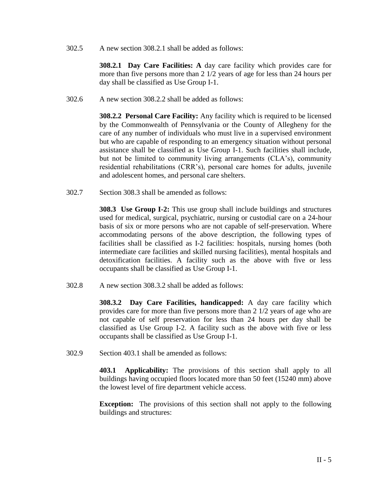302.5 A new section 308.2.1 shall be added as follows:

**308.2.1 Day Care Facilities: A** day care facility which provides care for more than five persons more than 2 1/2 years of age for less than 24 hours per day shall be classified as Use Group I-1.

302.6 A new section 308.2.2 shall be added as follows:

**308.2.2 Personal Care Facility:** Any facility which is required to be licensed by the Commonwealth of Pennsylvania or the County of Allegheny for the care of any number of individuals who must live in a supervised environment but who are capable of responding to an emergency situation without personal assistance shall be classified as Use Group I-1. Such facilities shall include, but not be limited to community living arrangements (CLA's), community residential rehabilitations (CRR's), personal care homes for adults, juvenile and adolescent homes, and personal care shelters.

302.7 Section 308.3 shall be amended as follows:

**308.3 Use Group I-2:** This use group shall include buildings and structures used for medical, surgical, psychiatric, nursing or custodial care on a 24-hour basis of six or more persons who are not capable of self-preservation. Where accommodating persons of the above description, the following types of facilities shall be classified as I-2 facilities: hospitals, nursing homes (both intermediate care facilities and skilled nursing facilities), mental hospitals and detoxification facilities. A facility such as the above with five or less occupants shall be classified as Use Group I-1.

302.8 A new section 308.3.2 shall be added as follows:

**308.3.2 Day Care Facilities, handicapped:** A day care facility which provides care for more than five persons more than 2 1/2 years of age who are not capable of self preservation for less than 24 hours per day shall be classified as Use Group I-2. A facility such as the above with five or less occupants shall be classified as Use Group I-1.

302.9 Section 403.1 shall be amended as follows:

**403.1 Applicability:** The provisions of this section shall apply to all buildings having occupied floors located more than 50 feet (15240 mm) above the lowest level of fire department vehicle access.

**Exception:** The provisions of this section shall not apply to the following buildings and structures: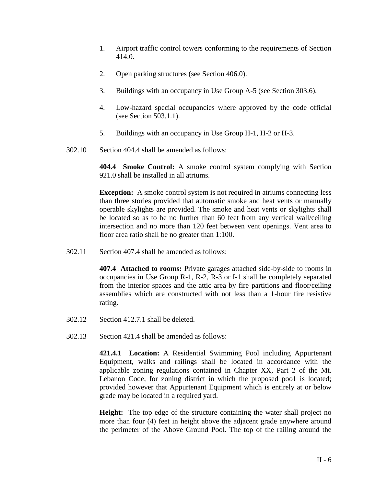- 1. Airport traffic control towers conforming to the requirements of Section 414.0.
- 2. Open parking structures (see Section 406.0).
- 3. Buildings with an occupancy in Use Group A-5 (see Section 303.6).
- 4. Low-hazard special occupancies where approved by the code official (see Section 503.1.1).
- 5. Buildings with an occupancy in Use Group H-1, H-2 or H-3.
- 302.10 Section 404.4 shall be amended as follows:

**404.4 Smoke Control:** A smoke control system complying with Section 921.0 shall be installed in all atriums.

**Exception:** A smoke control system is not required in atriums connecting less than three stories provided that automatic smoke and heat vents or manually operable skylights are provided. The smoke and heat vents or skylights shall be located so as to be no further than 60 feet from any vertical wall/ceiling intersection and no more than 120 feet between vent openings. Vent area to floor area ratio shall be no greater than 1:100.

302.11 Section 407.4 shall be amended as follows:

**407.4 Attached to rooms:** Private garages attached side-by-side to rooms in occupancies in Use Group R-1, R-2, R-3 or I-1 shall be completely separated from the interior spaces and the attic area by fire partitions and floor/ceiling assemblies which are constructed with not less than a 1-hour fire resistive rating.

- 302.12 Section 412.7.1 shall be deleted.
- 302.13 Section 421.4 shall be amended as follows:

**421.4.1 Location:** A Residential Swimming Pool including Appurtenant Equipment, walks and railings shall be located in accordance with the applicable zoning regulations contained in Chapter XX, Part 2 of the Mt. Lebanon Code, for zoning district in which the proposed poo1 is located; provided however that Appurtenant Equipment which is entirely at or below grade may be located in a required yard.

**Height:** The top edge of the structure containing the water shall project no more than four (4) feet in height above the adjacent grade anywhere around the perimeter of the Above Ground Pool. The top of the railing around the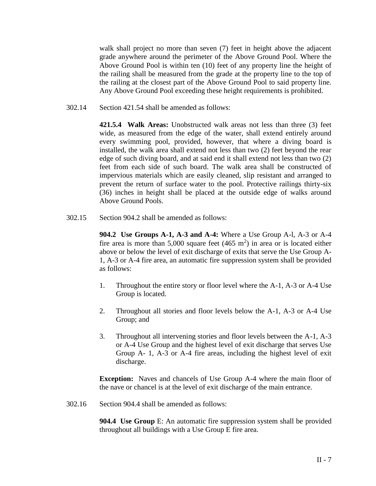walk shall project no more than seven (7) feet in height above the adjacent grade anywhere around the perimeter of the Above Ground Pool. Where the Above Ground Pool is within ten (10) feet of any property line the height of the railing shall be measured from the grade at the property line to the top of the railing at the closest part of the Above Ground Pool to said property line. Any Above Ground Pool exceeding these height requirements is prohibited.

302.14 Section 421.54 shall be amended as follows:

**421.5.4 Walk Areas:** Unobstructed walk areas not less than three (3) feet wide, as measured from the edge of the water, shall extend entirely around every swimming pool, provided, however, that where a diving board is installed, the walk area shall extend not less than two (2) feet beyond the rear edge of such diving board, and at said end it shall extend not less than two (2) feet from each side of such board. The walk area shall be constructed of impervious materials which are easily cleaned, slip resistant and arranged to prevent the return of surface water to the pool. Protective railings thirty-six (36) inches in height shall be placed at the outside edge of walks around Above Ground Pools.

302.15 Section 904.2 shall be amended as follows:

**904.2 Use Groups A-1, A-3 and A-4:** Where a Use Group A-l, A-3 or A-4 fire area is more than  $5,000$  square feet  $(465 \text{ m}^2)$  in area or is located either above or below the level of exit discharge of exits that serve the Use Group A-1, A-3 or A-4 fire area, an automatic fire suppression system shall be provided as follows:

- 1. Throughout the entire story or floor level where the A-1, A-3 or A-4 Use Group is located.
- 2. Throughout all stories and floor levels below the A-1, A-3 or A-4 Use Group; and
- 3. Throughout all intervening stories and floor levels between the A-1, A-3 or A-4 Use Group and the highest level of exit discharge that serves Use Group A- 1, A-3 or A-4 fire areas, including the highest level of exit discharge.

**Exception:** Naves and chancels of Use Group A-4 where the main floor of the nave or chancel is at the level of exit discharge of the main entrance.

302.16 Section 904.4 shall be amended as follows:

**904.4 Use Group** E: An automatic fire suppression system shall be provided throughout all buildings with a Use Group E fire area.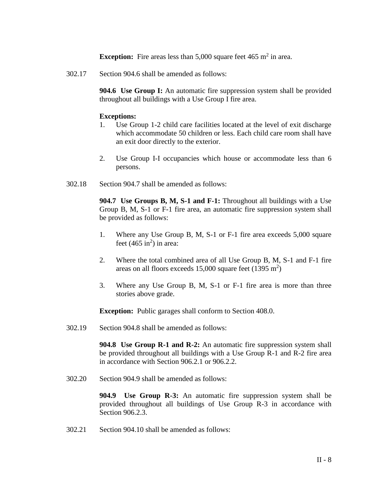**Exception:** Fire areas less than  $5,000$  square feet  $465 \text{ m}^2$  in area.

302.17 Section 904.6 shall be amended as follows:

**904.6 Use Group I:** An automatic fire suppression system shall be provided throughout all buildings with a Use Group I fire area.

## **Exceptions:**

- 1. Use Group 1-2 child care facilities located at the level of exit discharge which accommodate 50 children or less. Each child care room shall have an exit door directly to the exterior.
- 2. Use Group I-I occupancies which house or accommodate less than 6 persons.
- 302.18 Section 904.7 shall be amended as follows:

**904.7 Use Groups B, M, S-1 and F-1:** Throughout all buildings with a Use Group B, M, S-1 or F-1 fire area, an automatic fire suppression system shall be provided as follows:

- 1. Where any Use Group B, M, S-1 or F-1 fire area exceeds 5,000 square feet  $(465 \text{ in}^2)$  in area:
- 2. Where the total combined area of all Use Group B, M, S-1 and F-1 fire areas on all floors exceeds  $15,000$  square feet  $(1395 \text{ m}^2)$
- 3. Where any Use Group B, M, S-1 or F-1 fire area is more than three stories above grade.

**Exception:** Public garages shall conform to Section 408.0.

302.19 Section 904.8 shall be amended as follows:

**904.8 Use Group R-1 and R-2:** An automatic fire suppression system shall be provided throughout all buildings with a Use Group R-1 and R-2 fire area in accordance with Section 906.2.1 or 906.2.2.

302.20 Section 904.9 shall be amended as follows:

**904.9 Use Group R-3:** An automatic fire suppression system shall be provided throughout all buildings of Use Group R-3 in accordance with Section 906.2.3.

302.21 Section 904.10 shall be amended as follows: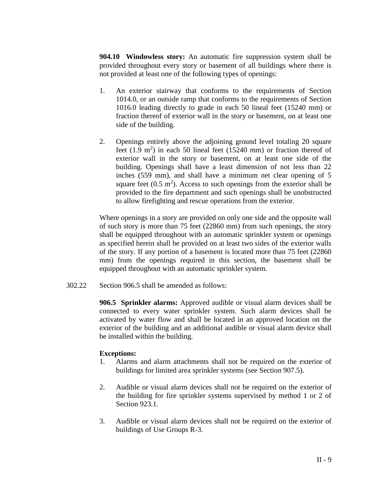**904.10 Windowless story:** An automatic fire suppression system shall be provided throughout every story or basement of all buildings where there is not provided at least one of the following types of openings:

- 1. An exterior stairway that conforms to the requirements of Section 1014.0, or an outside ramp that conforms to the requirements of Section 1016.0 leading directly to grade in each 50 lineal feet (15240 mm) or fraction thereof of exterior wall in the story or basement, on at least one side of the building.
- 2. Openings entirely above the adjoining ground level totaling 20 square feet  $(1.9 \text{ m}^2)$  in each 50 lineal feet  $(15240 \text{ mm})$  or fraction thereof of exterior wall in the story or basement, on at least one side of the building. Openings shall have a least dimension of not less than 22 inches (559 mm), and shall have a minimum net clear opening of 5 square feet  $(0.5 \text{ m}^2)$ . Access to such openings from the exterior shall be provided to the fire department and such openings shall be unobstructed to allow firefighting and rescue operations from the exterior.

Where openings in a story are provided on only one side and the opposite wall of such story is more than 75 feet (22860 mm) from such openings, the story shall be equipped throughout with an automatic sprinkler system or openings as specified herein shall be provided on at least two sides of the exterior walls of the story. If any portion of a basement is located more than 75 feet (22860 mm) from the openings required in this section, the basement shall be equipped throughout with an automatic sprinkler system.

302.22 Section 906.5 shall be amended as follows:

**906.5 Sprinkler alarms:** Approved audible or visual alarm devices shall be connected to every water sprinkler system. Such alarm devices shall be activated by water flow and shall be located in an approved location on the exterior of the building and an additional audible or visual alarm device shall be installed within the building.

### **Exceptions:**

- 1. Alarms and alarm attachments shall not be required on the exterior of buildings for limited area sprinkler systems (see Section 907.5).
- 2. Audible or visual alarm devices shall not be required on the exterior of the building for fire sprinkler systems supervised by method 1 or 2 of Section 923.1.
- 3. Audible or visual alarm devices shall not be required on the exterior of buildings of Use Groups R-3.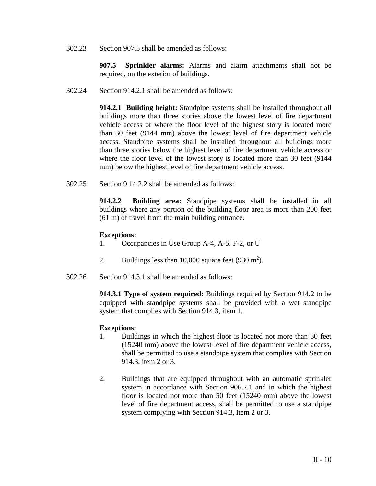302.23 Section 907.5 shall be amended as follows:

**907.5 Sprinkler alarms:** Alarms and alarm attachments shall not be required, on the exterior of buildings.

302.24 Section 914.2.1 shall be amended as follows:

**914.2.1 Building height:** Standpipe systems shall be installed throughout all buildings more than three stories above the lowest level of fire department vehicle access or where the floor level of the highest story is located more than 30 feet (9144 mm) above the lowest level of fire department vehicle access. Standpipe systems shall be installed throughout all buildings more than three stories below the highest level of fire department vehicle access or where the floor level of the lowest story is located more than 30 feet (9144 mm) below the highest level of fire department vehicle access.

302.25 Section 9 14.2.2 shall be amended as follows:

**914.2.2 Building area:** Standpipe systems shall be installed in all buildings where any portion of the building floor area is more than 200 feet (61 m) of travel from the main building entrance.

#### **Exceptions:**

- 1. Occupancies in Use Group A-4, A-5. F-2, or U
- 2. Buildings less than  $10,000$  square feet (930 m<sup>2</sup>).
- 302.26 Section 914.3.1 shall be amended as follows:

**914.3.1 Type of system required:** Buildings required by Section 914.2 to be equipped with standpipe systems shall be provided with a wet standpipe system that complies with Section 914.3, item 1.

#### **Exceptions:**

- 1. Buildings in which the highest floor is located not more than 50 feet (15240 mm) above the lowest level of fire department vehicle access, shall be permitted to use a standpipe system that complies with Section 914.3, item 2 or 3.
- 2. Buildings that are equipped throughout with an automatic sprinkler system in accordance with Section 906.2.1 and in which the highest floor is located not more than 50 feet (15240 mm) above the lowest level of fire department access, shall be permitted to use a standpipe system complying with Section 914.3, item 2 or 3.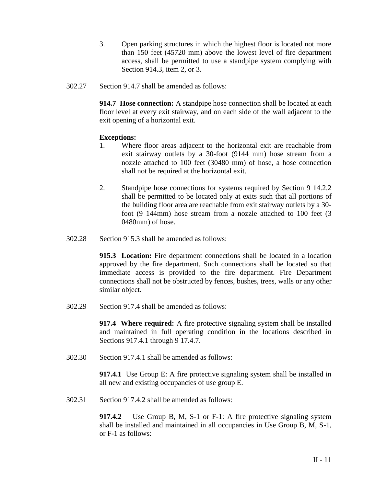- 3. Open parking structures in which the highest floor is located not more than 150 feet (45720 mm) above the lowest level of fire department access, shall be permitted to use a standpipe system complying with Section 914.3, item 2, or 3.
- 302.27 Section 914.7 shall be amended as follows:

**914.7 Hose connection:** A standpipe hose connection shall be located at each floor level at every exit stairway, and on each side of the wall adjacent to the exit opening of a horizontal exit.

# **Exceptions:**

- 1. Where floor areas adjacent to the horizontal exit are reachable from exit stairway outlets by a 30-foot (9144 mm) hose stream from a nozzle attached to 100 feet (30480 mm) of hose, a hose connection shall not be required at the horizontal exit.
- 2. Standpipe hose connections for systems required by Section 9 14.2.2 shall be permitted to be located only at exits such that all portions of the building floor area are reachable from exit stairway outlets by a 30 foot (9 144mm) hose stream from a nozzle attached to 100 feet (3 0480mm) of hose.
- 302.28 Section 915.3 shall be amended as follows:

**915.3 Location:** Fire department connections shall be located in a location approved by the fire department. Such connections shall be located so that immediate access is provided to the fire department. Fire Department connections shall not be obstructed by fences, bushes, trees, walls or any other similar object.

302.29 Section 917.4 shall be amended as follows:

**917.4 Where required:** A fire protective signaling system shall be installed and maintained in full operating condition in the locations described in Sections 917.4.1 through 9 17.4.7.

302.30 Section 917.4.1 shall be amended as follows:

**917.4.1** Use Group E: A fire protective signaling system shall be installed in all new and existing occupancies of use group E.

302.31 Section 917.4.2 shall be amended as follows:

**917.4.2** Use Group B, M, S-1 or F-1: A fire protective signaling system shall be installed and maintained in all occupancies in Use Group B, M, S-1, or F-1 as follows: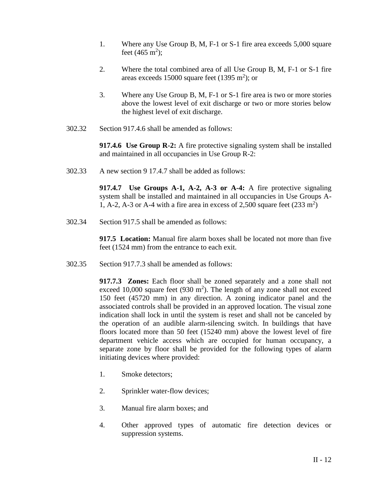- 1. Where any Use Group B, M, F-1 or S-1 fire area exceeds 5,000 square feet  $(465 \text{ m}^2)$ ;
- 2. Where the total combined area of all Use Group B, M, F-1 or S-1 fire areas exceeds  $15000$  square feet  $(1395 \text{ m}^2)$ ; or
- 3. Where any Use Group B, M, F-1 or S-1 fire area is two or more stories above the lowest level of exit discharge or two or more stories below the highest level of exit discharge.
- 302.32 Section 917.4.6 shall be amended as follows:

**917.4.6 Use Group R-2:** A fire protective signaling system shall be installed and maintained in all occupancies in Use Group R-2:

302.33 A new section 9 17.4.7 shall be added as follows:

**917.4.7 Use Groups A-1, A-2, A-3 or A-4:** A fire protective signaling system shall be installed and maintained in all occupancies in Use Groups A-1, A-2, A-3 or A-4 with a fire area in excess of 2,500 square feet  $(233 \text{ m}^2)$ 

302.34 Section 917.5 shall be amended as follows:

**917.5 Location:** Manual fire alarm boxes shall be located not more than five feet (1524 mm) from the entrance to each exit.

302.35 Section 917.7.3 shall be amended as follows:

**917.7.3 Zones:** Each floor shall be zoned separately and a zone shall not exceed 10,000 square feet (930  $m<sup>2</sup>$ ). The length of any zone shall not exceed 150 feet (45720 mm) in any direction. A zoning indicator panel and the associated controls shall be provided in an approved location. The visual zone indication shall lock in until the system is reset and shall not be canceled by the operation of an audible alarm-silencing switch. In buildings that have floors located more than 50 feet (15240 mm) above the lowest level of fire department vehicle access which are occupied for human occupancy, a separate zone by floor shall be provided for the following types of alarm initiating devices where provided:

- 1. Smoke detectors;
- 2. Sprinkler water-flow devices;
- 3. Manual fire alarm boxes; and
- 4. Other approved types of automatic fire detection devices or suppression systems.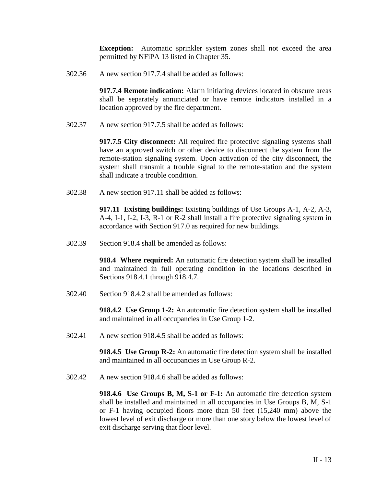**Exception:** Automatic sprinkler system zones shall not exceed the area permitted by NFiPA 13 listed in Chapter 35.

302.36 A new section 917.7.4 shall be added as follows:

**917.7.4 Remote indication:** Alarm initiating devices located in obscure areas shall be separately annunciated or have remote indicators installed in a location approved by the fire department.

302.37 A new section 917.7.5 shall be added as follows:

**917.7.5 City disconnect:** All required fire protective signaling systems shall have an approved switch or other device to disconnect the system from the remote-station signaling system. Upon activation of the city disconnect, the system shall transmit a trouble signal to the remote-station and the system shall indicate a trouble condition.

302.38 A new section 917.11 shall be added as follows:

**917.11 Existing buildings:** Existing buildings of Use Groups A-1, A-2, A-3, A-4, I-1, I-2, I-3, R-1 or R-2 shall install a fire protective signaling system in accordance with Section 917.0 as required for new buildings.

302.39 Section 918.4 shall be amended as follows:

**918.4 Where required:** An automatic fire detection system shall be installed and maintained in full operating condition in the locations described in Sections 918.4.1 through 918.4.7.

302.40 Section 918.4.2 shall be amended as follows:

**918.4.2 Use Group 1-2:** An automatic fire detection system shall be installed and maintained in all occupancies in Use Group 1-2.

302.41 A new section 918.4.5 shall be added as follows:

**918.4.5 Use Group R-2:** An automatic fire detection system shall be installed and maintained in all occupancies in Use Group R-2.

302.42 A new section 918.4.6 shall be added as follows:

**918.4.6 Use Groups B, M, S-1 or F-1:** An automatic fire detection system shall be installed and maintained in all occupancies in Use Groups B, M, S-1 or F-1 having occupied floors more than 50 feet (15,240 mm) above the lowest level of exit discharge or more than one story below the lowest level of exit discharge serving that floor level.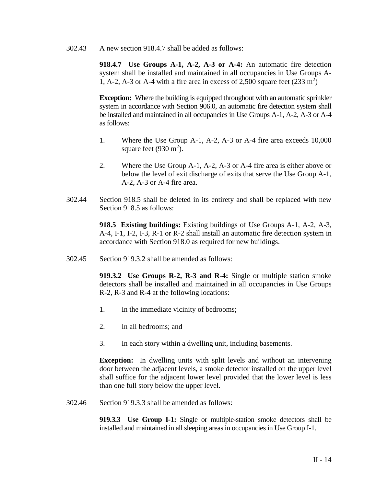302.43 A new section 918.4.7 shall be added as follows:

**918.4.7 Use Groups A-1, A-2, A-3 or A-4:** An automatic fire detection system shall be installed and maintained in all occupancies in Use Groups A-1, A-2, A-3 or A-4 with a fire area in excess of 2,500 square feet  $(233 \text{ m}^2)$ 

**Exception:** Where the building is equipped throughout with an automatic sprinkler system in accordance with Section 906.0, an automatic fire detection system shall be installed and maintained in all occupancies in Use Groups A-1, A-2, A-3 or A-4 as follows:

- 1. Where the Use Group A-1, A-2, A-3 or A-4 fire area exceeds 10,000 square feet  $(930 \text{ m}^2)$ .
- 2. Where the Use Group A-1, A-2, A-3 or A-4 fire area is either above or below the level of exit discharge of exits that serve the Use Group A-1, A-2, A-3 or A-4 fire area.
- 302.44 Section 918.5 shall be deleted in its entirety and shall be replaced with new Section 918.5 as follows:

**918.5 Existing buildings:** Existing buildings of Use Groups A-1, A-2, A-3, A-4, I-1, I-2, I-3, R-1 or R-2 shall install an automatic fire detection system in accordance with Section 918.0 as required for new buildings.

302.45 Section 919.3.2 shall be amended as follows:

**919.3.2 Use Groups R-2, R-3 and R-4:** Single or multiple station smoke detectors shall be installed and maintained in all occupancies in Use Groups R-2, R-3 and R-4 at the following locations:

- 1. In the immediate vicinity of bedrooms;
- 2. In all bedrooms; and
- 3. In each story within a dwelling unit, including basements.

**Exception:** In dwelling units with split levels and without an intervening door between the adjacent levels, a smoke detector installed on the upper level shall suffice for the adjacent lower level provided that the lower level is less than one full story below the upper level.

302.46 Section 919.3.3 shall be amended as follows:

**919.3.3 Use Group I-1:** Single or multiple-station smoke detectors shall be installed and maintained in all sleeping areas in occupancies in Use Group I-1.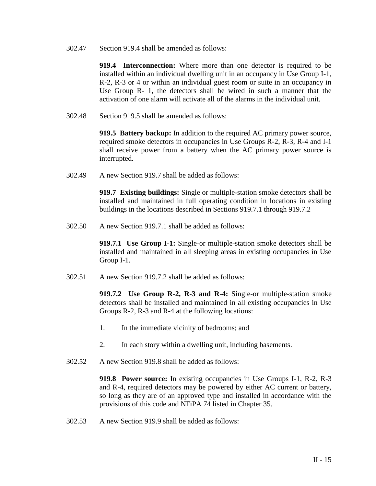302.47 Section 919.4 shall be amended as follows:

**919.4 Interconnection:** Where more than one detector is required to be installed within an individual dwelling unit in an occupancy in Use Group I-1, R-2, R-3 or 4 or within an individual guest room or suite in an occupancy in Use Group R- 1, the detectors shall be wired in such a manner that the activation of one alarm will activate all of the alarms in the individual unit.

302.48 Section 919.5 shall be amended as follows:

**919.5 Battery backup:** In addition to the required AC primary power source, required smoke detectors in occupancies in Use Groups R-2, R-3, R-4 and I-1 shall receive power from a battery when the AC primary power source is interrupted.

302.49 A new Section 919.7 shall be added as follows:

**919.7 Existing buildings:** Single or multiple-station smoke detectors shall be installed and maintained in full operating condition in locations in existing buildings in the locations described in Sections 919.7.1 through 919.7.2

302.50 A new Section 919.7.1 shall be added as follows:

**919.7.1 Use Group I-1:** Single-or multiple-station smoke detectors shall be installed and maintained in all sleeping areas in existing occupancies in Use Group I-1.

302.51 A new Section 919.7.2 shall be added as follows:

**919.7.2 Use Group R-2, R-3 and R-4:** Single-or multiple-station smoke detectors shall be installed and maintained in all existing occupancies in Use Groups R-2, R-3 and R-4 at the following locations:

- 1. In the immediate vicinity of bedrooms; and
- 2. In each story within a dwelling unit, including basements.
- 302.52 A new Section 919.8 shall be added as follows:

**919.8 Power source:** In existing occupancies in Use Groups I-1, R-2, R-3 and R-4, required detectors may be powered by either AC current or battery, so long as they are of an approved type and installed in accordance with the provisions of this code and NFiPA 74 listed in Chapter 35.

302.53 A new Section 919.9 shall be added as follows: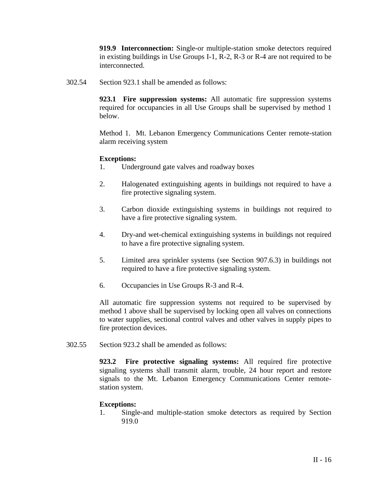**919.9 Interconnection:** Single-or multiple-station smoke detectors required in existing buildings in Use Groups I-1, R-2, R-3 or R-4 are not required to be interconnected.

302.54 Section 923.1 shall be amended as follows:

**923.1 Fire suppression systems:** All automatic fire suppression systems required for occupancies in all Use Groups shall be supervised by method 1 below.

Method 1. Mt. Lebanon Emergency Communications Center remote-station alarm receiving system

#### **Exceptions:**

- 1. Underground gate valves and roadway boxes
- 2. Halogenated extinguishing agents in buildings not required to have a fire protective signaling system.
- 3. Carbon dioxide extinguishing systems in buildings not required to have a fire protective signaling system.
- 4. Dry-and wet-chemical extinguishing systems in buildings not required to have a fire protective signaling system.
- 5. Limited area sprinkler systems (see Section 907.6.3) in buildings not required to have a fire protective signaling system.
- 6. Occupancies in Use Groups R-3 and R-4.

All automatic fire suppression systems not required to be supervised by method 1 above shall be supervised by locking open all valves on connections to water supplies, sectional control valves and other valves in supply pipes to fire protection devices.

302.55 Section 923.2 shall be amended as follows:

**923.2 Fire protective signaling systems:** All required fire protective signaling systems shall transmit alarm, trouble, 24 hour report and restore signals to the Mt. Lebanon Emergency Communications Center remotestation system.

#### **Exceptions:**

1. Single-and multiple-station smoke detectors as required by Section 919.0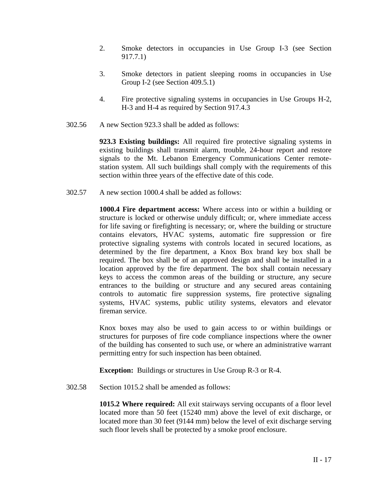- 2. Smoke detectors in occupancies in Use Group I-3 (see Section 917.7.1)
- 3. Smoke detectors in patient sleeping rooms in occupancies in Use Group I-2 (see Section 409.5.1)
- 4. Fire protective signaling systems in occupancies in Use Groups H-2, H-3 and H-4 as required by Section 917.4.3
- 302.56 A new Section 923.3 shall be added as follows:

**923.3 Existing buildings:** All required fire protective signaling systems in existing buildings shall transmit alarm, trouble, 24-hour report and restore signals to the Mt. Lebanon Emergency Communications Center remotestation system. All such buildings shall comply with the requirements of this section within three years of the effective date of this code.

302.57 A new section 1000.4 shall be added as follows:

**1000.4 Fire department access:** Where access into or within a building or structure is locked or otherwise unduly difficult; or, where immediate access for life saving or firefighting is necessary; or, where the building or structure contains elevators, HVAC systems, automatic fire suppression or fire protective signaling systems with controls located in secured locations, as determined by the fire department, a Knox Box brand key box shall be required. The box shall be of an approved design and shall be installed in a location approved by the fire department. The box shall contain necessary keys to access the common areas of the building or structure, any secure entrances to the building or structure and any secured areas containing controls to automatic fire suppression systems, fire protective signaling systems, HVAC systems, public utility systems, elevators and elevator fireman service.

Knox boxes may also be used to gain access to or within buildings or structures for purposes of fire code compliance inspections where the owner of the building has consented to such use, or where an administrative warrant permitting entry for such inspection has been obtained.

**Exception:** Buildings or structures in Use Group R-3 or R-4.

302.58 Section 1015.2 shall be amended as follows:

**1015.2 Where required:** All exit stairways serving occupants of a floor level located more than 50 feet (15240 mm) above the level of exit discharge, or located more than 30 feet (9144 mm) below the level of exit discharge serving such floor levels shall be protected by a smoke proof enclosure.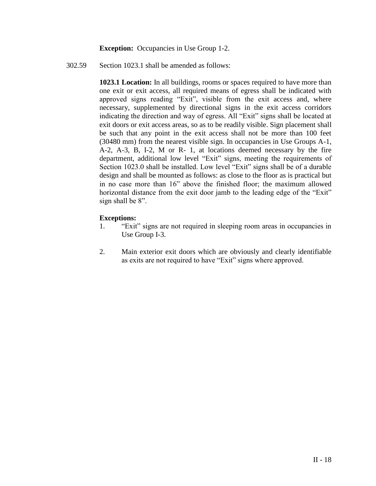**Exception:** Occupancies in Use Group 1-2.

302.59 Section 1023.1 shall be amended as follows:

**1023.1 Location:** In all buildings, rooms or spaces required to have more than one exit or exit access, all required means of egress shall be indicated with approved signs reading "Exit", visible from the exit access and, where necessary, supplemented by directional signs in the exit access corridors indicating the direction and way of egress. All "Exit" signs shall be located at exit doors or exit access areas, so as to be readily visible. Sign placement shall be such that any point in the exit access shall not be more than 100 feet (30480 mm) from the nearest visible sign. In occupancies in Use Groups A-1, A-2, A-3, B, I-2, M or R- 1, at locations deemed necessary by the fire department, additional low level "Exit" signs, meeting the requirements of Section 1023.0 shall be installed. Low level "Exit" signs shall be of a durable design and shall be mounted as follows: as close to the floor as is practical but in no case more than 16" above the finished floor; the maximum allowed horizontal distance from the exit door jamb to the leading edge of the "Exit" sign shall be 8".

# **Exceptions:**

- 1. "Exit" signs are not required in sleeping room areas in occupancies in Use Group I-3.
- 2. Main exterior exit doors which are obviously and clearly identifiable as exits are not required to have "Exit" signs where approved.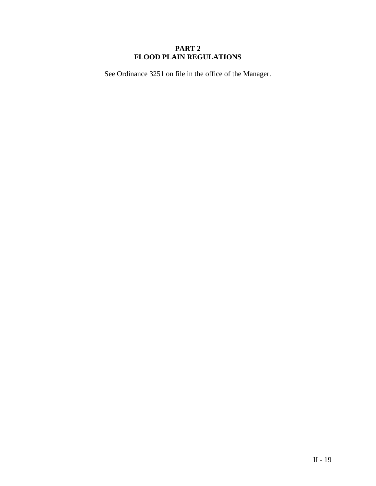# **PART 2 FLOOD PLAIN REGULATIONS**

See Ordinance 3251 on file in the office of the Manager.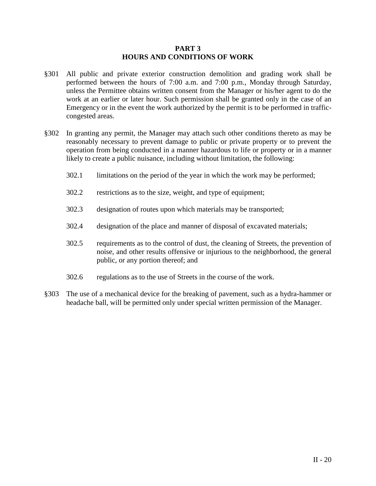### **PART 3 HOURS AND CONDITIONS OF WORK**

- §301 All public and private exterior construction demolition and grading work shall be performed between the hours of 7:00 a.m. and 7:00 p.m., Monday through Saturday, unless the Permittee obtains written consent from the Manager or his/her agent to do the work at an earlier or later hour. Such permission shall be granted only in the case of an Emergency or in the event the work authorized by the permit is to be performed in trafficcongested areas.
- §302 In granting any permit, the Manager may attach such other conditions thereto as may be reasonably necessary to prevent damage to public or private property or to prevent the operation from being conducted in a manner hazardous to life or property or in a manner likely to create a public nuisance, including without limitation, the following:
	- 302.1 limitations on the period of the year in which the work may be performed;
	- 302.2 restrictions as to the size, weight, and type of equipment;
	- 302.3 designation of routes upon which materials may be transported;
	- 302.4 designation of the place and manner of disposal of excavated materials;
	- 302.5 requirements as to the control of dust, the cleaning of Streets, the prevention of noise, and other results offensive or injurious to the neighborhood, the general public, or any portion thereof; and
	- 302.6 regulations as to the use of Streets in the course of the work.
- §303 The use of a mechanical device for the breaking of pavement, such as a hydra-hammer or headache ball, will be permitted only under special written permission of the Manager.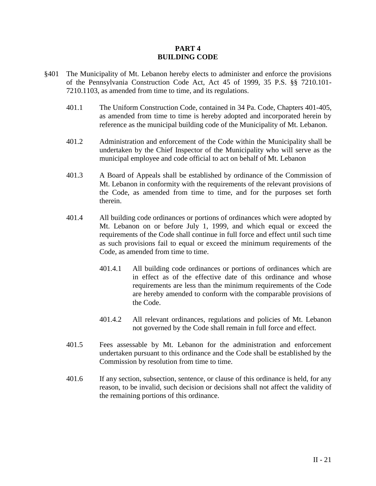### **PART 4 BUILDING CODE**

- §401 The Municipality of Mt. Lebanon hereby elects to administer and enforce the provisions of the Pennsylvania Construction Code Act, Act 45 of 1999, 35 P.S. §§ 7210.101- 7210.1103, as amended from time to time, and its regulations.
	- 401.1 The Uniform Construction Code, contained in 34 Pa. Code, Chapters 401-405, as amended from time to time is hereby adopted and incorporated herein by reference as the municipal building code of the Municipality of Mt. Lebanon.
	- 401.2 Administration and enforcement of the Code within the Municipality shall be undertaken by the Chief Inspector of the Municipality who will serve as the municipal employee and code official to act on behalf of Mt. Lebanon
	- 401.3 A Board of Appeals shall be established by ordinance of the Commission of Mt. Lebanon in conformity with the requirements of the relevant provisions of the Code, as amended from time to time, and for the purposes set forth therein.
	- 401.4 All building code ordinances or portions of ordinances which were adopted by Mt. Lebanon on or before July 1, 1999, and which equal or exceed the requirements of the Code shall continue in full force and effect until such time as such provisions fail to equal or exceed the minimum requirements of the Code, as amended from time to time.
		- 401.4.1 All building code ordinances or portions of ordinances which are in effect as of the effective date of this ordinance and whose requirements are less than the minimum requirements of the Code are hereby amended to conform with the comparable provisions of the Code.
		- 401.4.2 All relevant ordinances, regulations and policies of Mt. Lebanon not governed by the Code shall remain in full force and effect.
	- 401.5 Fees assessable by Mt. Lebanon for the administration and enforcement undertaken pursuant to this ordinance and the Code shall be established by the Commission by resolution from time to time.
	- 401.6 If any section, subsection, sentence, or clause of this ordinance is held, for any reason, to be invalid, such decision or decisions shall not affect the validity of the remaining portions of this ordinance.